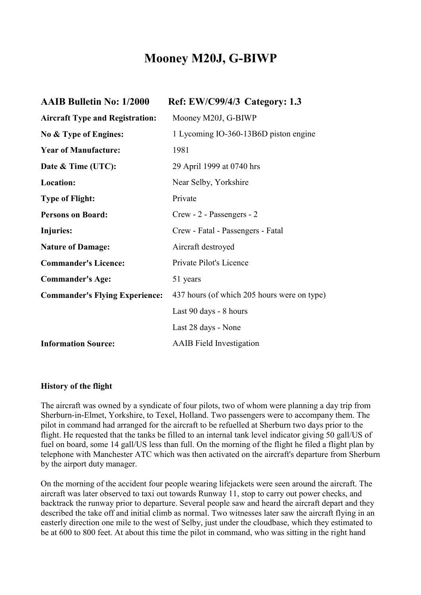# **Mooney M20J, G-BIWP**

| <b>AAIB Bulletin No: 1/2000</b>        | Ref: EW/C99/4/3 Category: 1.3               |
|----------------------------------------|---------------------------------------------|
| <b>Aircraft Type and Registration:</b> | Mooney M20J, G-BIWP                         |
| No & Type of Engines:                  | 1 Lycoming IO-360-13B6D piston engine       |
| <b>Year of Manufacture:</b>            | 1981                                        |
| Date & Time (UTC):                     | 29 April 1999 at 0740 hrs                   |
| Location:                              | Near Selby, Yorkshire                       |
| <b>Type of Flight:</b>                 | Private                                     |
| <b>Persons on Board:</b>               | Crew - 2 - Passengers - 2                   |
| Injuries:                              | Crew - Fatal - Passengers - Fatal           |
| <b>Nature of Damage:</b>               | Aircraft destroyed                          |
| <b>Commander's Licence:</b>            | Private Pilot's Licence                     |
| <b>Commander's Age:</b>                | 51 years                                    |
| <b>Commander's Flying Experience:</b>  | 437 hours (of which 205 hours were on type) |
|                                        | Last 90 days - 8 hours                      |
|                                        | Last 28 days - None                         |
| <b>Information Source:</b>             | <b>AAIB</b> Field Investigation             |
|                                        |                                             |

## **History of the flight**

The aircraft was owned by a syndicate of four pilots, two of whom were planning a day trip from Sherburn-in-Elmet, Yorkshire, to Texel, Holland. Two passengers were to accompany them. The pilot in command had arranged for the aircraft to be refuelled at Sherburn two days prior to the flight. He requested that the tanks be filled to an internal tank level indicator giving 50 gall/US of fuel on board, some 14 gall/US less than full. On the morning of the flight he filed a flight plan by telephone with Manchester ATC which was then activated on the aircraft's departure from Sherburn by the airport duty manager.

On the morning of the accident four people wearing lifejackets were seen around the aircraft. The aircraft was later observed to taxi out towards Runway 11, stop to carry out power checks, and backtrack the runway prior to departure. Several people saw and heard the aircraft depart and they described the take off and initial climb as normal. Two witnesses later saw the aircraft flying in an easterly direction one mile to the west of Selby, just under the cloudbase, which they estimated to be at 600 to 800 feet. At about this time the pilot in command, who was sitting in the right hand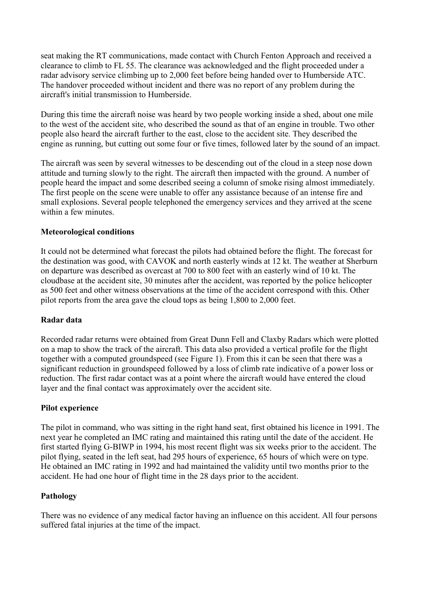seat making the RT communications, made contact with Church Fenton Approach and received a clearance to climb to FL 55. The clearance was acknowledged and the flight proceeded under a radar advisory service climbing up to 2,000 feet before being handed over to Humberside ATC. The handover proceeded without incident and there was no report of any problem during the aircraft's initial transmission to Humberside.

During this time the aircraft noise was heard by two people working inside a shed, about one mile to the west of the accident site, who described the sound as that of an engine in trouble. Two other people also heard the aircraft further to the east, close to the accident site. They described the engine as running, but cutting out some four or five times, followed later by the sound of an impact.

The aircraft was seen by several witnesses to be descending out of the cloud in a steep nose down attitude and turning slowly to the right. The aircraft then impacted with the ground. A number of people heard the impact and some described seeing a column of smoke rising almost immediately. The first people on the scene were unable to offer any assistance because of an intense fire and small explosions. Several people telephoned the emergency services and they arrived at the scene within a few minutes.

# **Meteorological conditions**

It could not be determined what forecast the pilots had obtained before the flight. The forecast for the destination was good, with CAVOK and north easterly winds at 12 kt. The weather at Sherburn on departure was described as overcast at 700 to 800 feet with an easterly wind of 10 kt. The cloudbase at the accident site, 30 minutes after the accident, was reported by the police helicopter as 500 feet and other witness observations at the time of the accident correspond with this. Other pilot reports from the area gave the cloud tops as being 1,800 to 2,000 feet.

# **Radar data**

Recorded radar returns were obtained from Great Dunn Fell and Claxby Radars which were plotted on a map to show the track of the aircraft. This data also provided a vertical profile for the flight together with a computed groundspeed (see Figure 1). From this it can be seen that there was a significant reduction in groundspeed followed by a loss of climb rate indicative of a power loss or reduction. The first radar contact was at a point where the aircraft would have entered the cloud layer and the final contact was approximately over the accident site.

## **Pilot experience**

The pilot in command, who was sitting in the right hand seat, first obtained his licence in 1991. The next year he completed an IMC rating and maintained this rating until the date of the accident. He first started flying G-BIWP in 1994, his most recent flight was six weeks prior to the accident. The pilot flying, seated in the left seat, had 295 hours of experience, 65 hours of which were on type. He obtained an IMC rating in 1992 and had maintained the validity until two months prior to the accident. He had one hour of flight time in the 28 days prior to the accident.

## **Pathology**

There was no evidence of any medical factor having an influence on this accident. All four persons suffered fatal injuries at the time of the impact.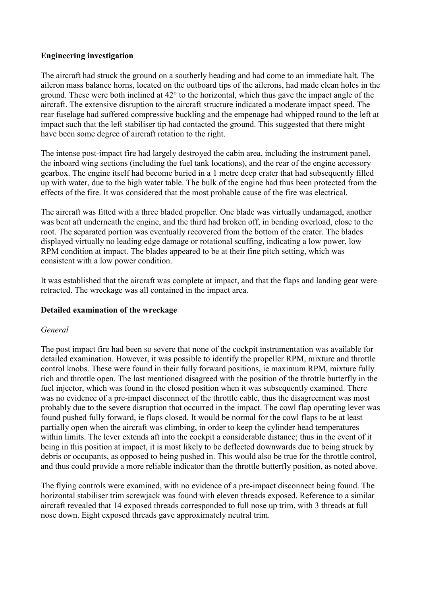## **Engineering investigation**

The aircraft had struck the ground on a southerly heading and had come to an immediate halt. The aileron mass balance horns, located on the outboard tips of the ailerons, had made clean holes in the ground. These were both inclined at 42° to the horizontal, which thus gave the impact angle of the aircraft. The extensive disruption to the aircraft structure indicated a moderate impact speed. The rear fuselage had suffered compressive buckling and the empenage had whipped round to the left at impact such that the left stabiliser tip had contacted the ground. This suggested that there might have been some degree of aircraft rotation to the right.

The intense post-impact fire had largely destroyed the cabin area, including the instrument panel, the inboard wing sections (including the fuel tank locations), and the rear of the engine accessory gearbox. The engine itself had become buried in a 1 metre deep crater that had subsequently filled up with water, due to the high water table. The bulk of the engine had thus been protected from the effects of the fire. It was considered that the most probable cause of the fire was electrical.

The aircraft was fitted with a three bladed propeller. One blade was virtually undamaged, another was bent aft underneath the engine, and the third had broken off, in bending overload, close to the root. The separated portion was eventually recovered from the bottom of the crater. The blades displayed virtually no leading edge damage or rotational scuffing, indicating a low power, low RPM condition at impact. The blades appeared to be at their fine pitch setting, which was consistent with a low power condition.

It was established that the aircraft was complete at impact, and that the flaps and landing gear were retracted. The wreckage was all contained in the impact area.

# **Detailed examination of the wreckage**

## *General*

The post impact fire had been so severe that none of the cockpit instrumentation was available for detailed examination. However, it was possible to identify the propeller RPM, mixture and throttle control knobs. These were found in their fully forward positions, ie maximum RPM, mixture fully rich and throttle open. The last mentioned disagreed with the position of the throttle butterfly in the fuel injector, which was found in the closed position when it was subsequently examined. There was no evidence of a pre-impact disconnect of the throttle cable, thus the disagreement was most probably due to the severe disruption that occurred in the impact. The cowl flap operating lever was found pushed fully forward, ie flaps closed. It would be normal for the cowl flaps to be at least partially open when the aircraft was climbing, in order to keep the cylinder head temperatures within limits. The lever extends aft into the cockpit a considerable distance; thus in the event of it being in this position at impact, it is most likely to be deflected downwards due to being struck by debris or occupants, as opposed to being pushed in. This would also be true for the throttle control, and thus could provide a more reliable indicator than the throttle butterfly position, as noted above.

The flying controls were examined, with no evidence of a pre-impact disconnect being found. The horizontal stabiliser trim screwjack was found with eleven threads exposed. Reference to a similar aircraft revealed that 14 exposed threads corresponded to full nose up trim, with 3 threads at full nose down. Eight exposed threads gave approximately neutral trim.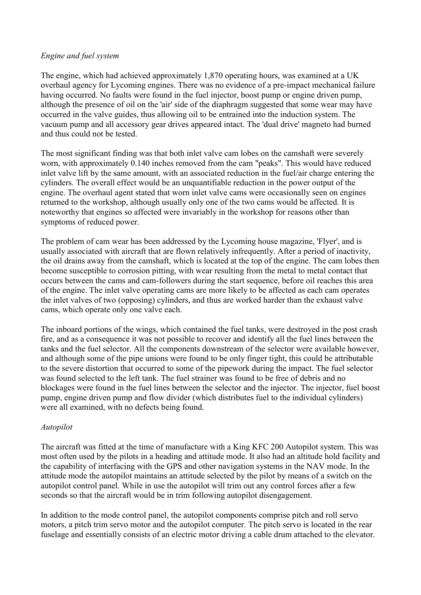## *Engine and fuel system*

The engine, which had achieved approximately 1,870 operating hours, was examined at a UK overhaul agency for Lycoming engines. There was no evidence of a pre-impact mechanical failure having occurred. No faults were found in the fuel injector, boost pump or engine driven pump, although the presence of oil on the 'air' side of the diaphragm suggested that some wear may have occurred in the valve guides, thus allowing oil to be entrained into the induction system. The vacuum pump and all accessory gear drives appeared intact. The 'dual drive' magneto had burned and thus could not be tested.

The most significant finding was that both inlet valve cam lobes on the camshaft were severely worn, with approximately 0.140 inches removed from the cam "peaks". This would have reduced inlet valve lift by the same amount, with an associated reduction in the fuel/air charge entering the cylinders. The overall effect would be an unquantifiable reduction in the power output of the engine. The overhaul agent stated that worn inlet valve cams were occasionally seen on engines returned to the workshop, although usually only one of the two cams would be affected. It is noteworthy that engines so affected were invariably in the workshop for reasons other than symptoms of reduced power.

The problem of cam wear has been addressed by the Lycoming house magazine, 'Flyer', and is usually associated with aircraft that are flown relatively infrequently. After a period of inactivity, the oil drains away from the camshaft, which is located at the top of the engine. The cam lobes then become susceptible to corrosion pitting, with wear resulting from the metal to metal contact that occurs between the cams and cam-followers during the start sequence, before oil reaches this area of the engine. The inlet valve operating cams are more likely to be affected as each cam operates the inlet valves of two (opposing) cylinders, and thus are worked harder than the exhaust valve cams, which operate only one valve each.

The inboard portions of the wings, which contained the fuel tanks, were destroyed in the post crash fire, and as a consequence it was not possible to recover and identify all the fuel lines between the tanks and the fuel selector. All the components downstream of the selector were available however, and although some of the pipe unions were found to be only finger tight, this could be attributable to the severe distortion that occurred to some of the pipework during the impact. The fuel selector was found selected to the left tank. The fuel strainer was found to be free of debris and no blockages were found in the fuel lines between the selector and the injector. The injector, fuel boost pump, engine driven pump and flow divider (which distributes fuel to the individual cylinders) were all examined, with no defects being found.

# *Autopilot*

The aircraft was fitted at the time of manufacture with a King KFC 200 Autopilot system. This was most often used by the pilots in a heading and attitude mode. It also had an altitude hold facility and the capability of interfacing with the GPS and other navigation systems in the NAV mode. In the attitude mode the autopilot maintains an attitude selected by the pilot by means of a switch on the autopilot control panel. While in use the autopilot will trim out any control forces after a few seconds so that the aircraft would be in trim following autopilot disengagement.

In addition to the mode control panel, the autopilot components comprise pitch and roll servo motors, a pitch trim servo motor and the autopilot computer. The pitch servo is located in the rear fuselage and essentially consists of an electric motor driving a cable drum attached to the elevator.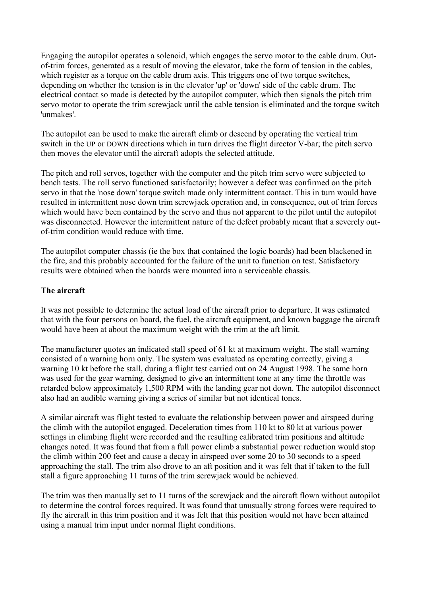Engaging the autopilot operates a solenoid, which engages the servo motor to the cable drum. Outof-trim forces, generated as a result of moving the elevator, take the form of tension in the cables, which register as a torque on the cable drum axis. This triggers one of two torque switches, depending on whether the tension is in the elevator 'up' or 'down' side of the cable drum. The electrical contact so made is detected by the autopilot computer, which then signals the pitch trim servo motor to operate the trim screwjack until the cable tension is eliminated and the torque switch 'unmakes'.

The autopilot can be used to make the aircraft climb or descend by operating the vertical trim switch in the UP or DOWN directions which in turn drives the flight director V-bar; the pitch servo then moves the elevator until the aircraft adopts the selected attitude.

The pitch and roll servos, together with the computer and the pitch trim servo were subjected to bench tests. The roll servo functioned satisfactorily; however a defect was confirmed on the pitch servo in that the 'nose down' torque switch made only intermittent contact. This in turn would have resulted in intermittent nose down trim screwjack operation and, in consequence, out of trim forces which would have been contained by the servo and thus not apparent to the pilot until the autopilot was disconnected. However the intermittent nature of the defect probably meant that a severely outof-trim condition would reduce with time.

The autopilot computer chassis (ie the box that contained the logic boards) had been blackened in the fire, and this probably accounted for the failure of the unit to function on test. Satisfactory results were obtained when the boards were mounted into a serviceable chassis.

## **The aircraft**

It was not possible to determine the actual load of the aircraft prior to departure. It was estimated that with the four persons on board, the fuel, the aircraft equipment, and known baggage the aircraft would have been at about the maximum weight with the trim at the aft limit.

The manufacturer quotes an indicated stall speed of 61 kt at maximum weight. The stall warning consisted of a warning horn only. The system was evaluated as operating correctly, giving a warning 10 kt before the stall, during a flight test carried out on 24 August 1998. The same horn was used for the gear warning, designed to give an intermittent tone at any time the throttle was retarded below approximately 1,500 RPM with the landing gear not down. The autopilot disconnect also had an audible warning giving a series of similar but not identical tones.

A similar aircraft was flight tested to evaluate the relationship between power and airspeed during the climb with the autopilot engaged. Deceleration times from 110 kt to 80 kt at various power settings in climbing flight were recorded and the resulting calibrated trim positions and altitude changes noted. It was found that from a full power climb a substantial power reduction would stop the climb within 200 feet and cause a decay in airspeed over some 20 to 30 seconds to a speed approaching the stall. The trim also drove to an aft position and it was felt that if taken to the full stall a figure approaching 11 turns of the trim screwjack would be achieved.

The trim was then manually set to 11 turns of the screwjack and the aircraft flown without autopilot to determine the control forces required. It was found that unusually strong forces were required to fly the aircraft in this trim position and it was felt that this position would not have been attained using a manual trim input under normal flight conditions.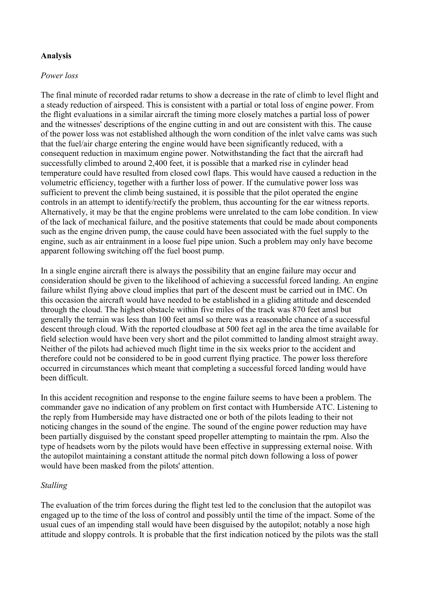# **Analysis**

#### *Power loss*

The final minute of recorded radar returns to show a decrease in the rate of climb to level flight and a steady reduction of airspeed. This is consistent with a partial or total loss of engine power. From the flight evaluations in a similar aircraft the timing more closely matches a partial loss of power and the witnesses' descriptions of the engine cutting in and out are consistent with this. The cause of the power loss was not established although the worn condition of the inlet valve cams was such that the fuel/air charge entering the engine would have been significantly reduced, with a consequent reduction in maximum engine power. Notwithstanding the fact that the aircraft had successfully climbed to around 2,400 feet, it is possible that a marked rise in cylinder head temperature could have resulted from closed cowl flaps. This would have caused a reduction in the volumetric efficiency, together with a further loss of power. If the cumulative power loss was sufficient to prevent the climb being sustained, it is possible that the pilot operated the engine controls in an attempt to identify/rectify the problem, thus accounting for the ear witness reports. Alternatively, it may be that the engine problems were unrelated to the cam lobe condition. In view of the lack of mechanical failure, and the positive statements that could be made about components such as the engine driven pump, the cause could have been associated with the fuel supply to the engine, such as air entrainment in a loose fuel pipe union. Such a problem may only have become apparent following switching off the fuel boost pump.

In a single engine aircraft there is always the possibility that an engine failure may occur and consideration should be given to the likelihood of achieving a successful forced landing. An engine failure whilst flying above cloud implies that part of the descent must be carried out in IMC. On this occasion the aircraft would have needed to be established in a gliding attitude and descended through the cloud. The highest obstacle within five miles of the track was 870 feet amsl but generally the terrain was less than 100 feet amsl so there was a reasonable chance of a successful descent through cloud. With the reported cloudbase at 500 feet agl in the area the time available for field selection would have been very short and the pilot committed to landing almost straight away. Neither of the pilots had achieved much flight time in the six weeks prior to the accident and therefore could not be considered to be in good current flying practice. The power loss therefore occurred in circumstances which meant that completing a successful forced landing would have been difficult.

In this accident recognition and response to the engine failure seems to have been a problem. The commander gave no indication of any problem on first contact with Humberside ATC. Listening to the reply from Humberside may have distracted one or both of the pilots leading to their not noticing changes in the sound of the engine. The sound of the engine power reduction may have been partially disguised by the constant speed propeller attempting to maintain the rpm. Also the type of headsets worn by the pilots would have been effective in suppressing external noise. With the autopilot maintaining a constant attitude the normal pitch down following a loss of power would have been masked from the pilots' attention.

## *Stalling*

The evaluation of the trim forces during the flight test led to the conclusion that the autopilot was engaged up to the time of the loss of control and possibly until the time of the impact. Some of the usual cues of an impending stall would have been disguised by the autopilot; notably a nose high attitude and sloppy controls. It is probable that the first indication noticed by the pilots was the stall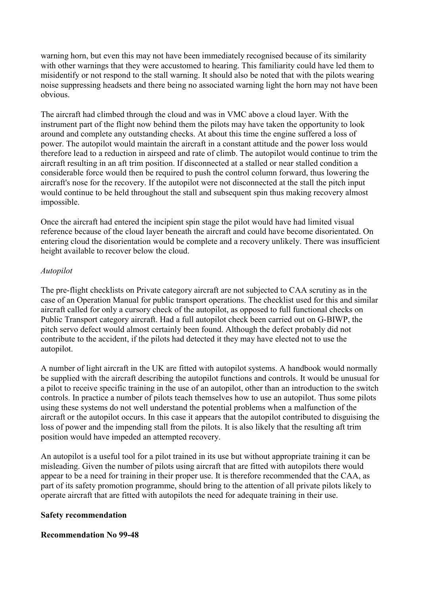warning horn, but even this may not have been immediately recognised because of its similarity with other warnings that they were accustomed to hearing. This familiarity could have led them to misidentify or not respond to the stall warning. It should also be noted that with the pilots wearing noise suppressing headsets and there being no associated warning light the horn may not have been obvious.

The aircraft had climbed through the cloud and was in VMC above a cloud layer. With the instrument part of the flight now behind them the pilots may have taken the opportunity to look around and complete any outstanding checks. At about this time the engine suffered a loss of power. The autopilot would maintain the aircraft in a constant attitude and the power loss would therefore lead to a reduction in airspeed and rate of climb. The autopilot would continue to trim the aircraft resulting in an aft trim position. If disconnected at a stalled or near stalled condition a considerable force would then be required to push the control column forward, thus lowering the aircraft's nose for the recovery. If the autopilot were not disconnected at the stall the pitch input would continue to be held throughout the stall and subsequent spin thus making recovery almost impossible.

Once the aircraft had entered the incipient spin stage the pilot would have had limited visual reference because of the cloud layer beneath the aircraft and could have become disorientated. On entering cloud the disorientation would be complete and a recovery unlikely. There was insufficient height available to recover below the cloud.

# *Autopilot*

The pre-flight checklists on Private category aircraft are not subjected to CAA scrutiny as in the case of an Operation Manual for public transport operations. The checklist used for this and similar aircraft called for only a cursory check of the autopilot, as opposed to full functional checks on Public Transport category aircraft. Had a full autopilot check been carried out on G-BIWP, the pitch servo defect would almost certainly been found. Although the defect probably did not contribute to the accident, if the pilots had detected it they may have elected not to use the autopilot.

A number of light aircraft in the UK are fitted with autopilot systems. A handbook would normally be supplied with the aircraft describing the autopilot functions and controls. It would be unusual for a pilot to receive specific training in the use of an autopilot, other than an introduction to the switch controls. In practice a number of pilots teach themselves how to use an autopilot. Thus some pilots using these systems do not well understand the potential problems when a malfunction of the aircraft or the autopilot occurs. In this case it appears that the autopilot contributed to disguising the loss of power and the impending stall from the pilots. It is also likely that the resulting aft trim position would have impeded an attempted recovery.

An autopilot is a useful tool for a pilot trained in its use but without appropriate training it can be misleading. Given the number of pilots using aircraft that are fitted with autopilots there would appear to be a need for training in their proper use. It is therefore recommended that the CAA, as part of its safety promotion programme, should bring to the attention of all private pilots likely to operate aircraft that are fitted with autopilots the need for adequate training in their use.

## **Safety recommendation**

## **Recommendation No 99-48**